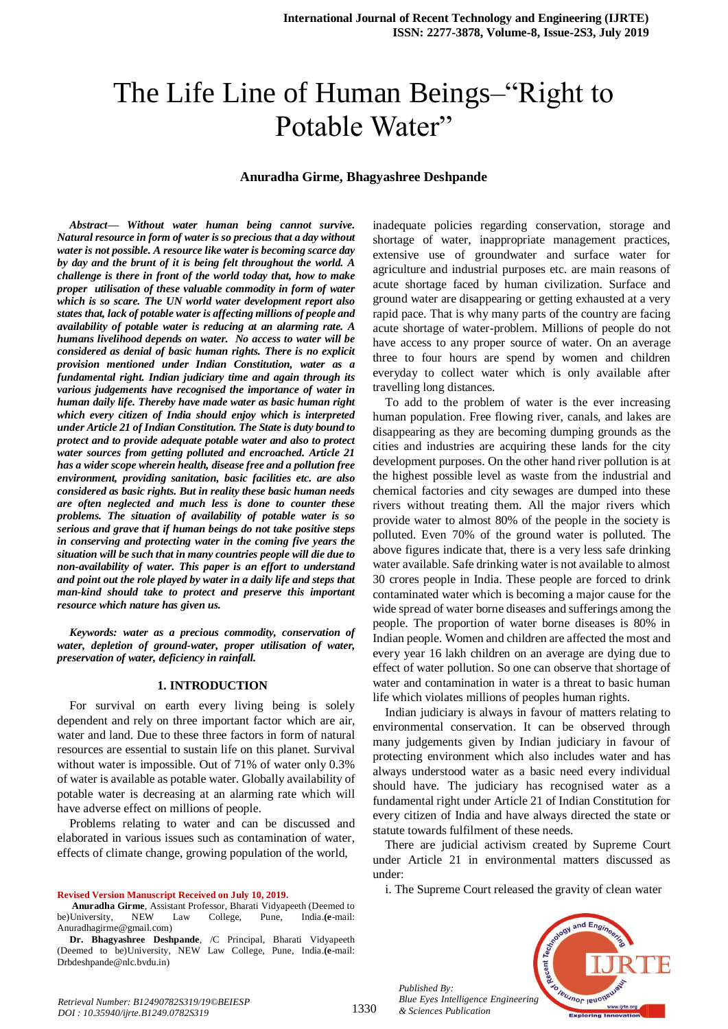# The Life Line of Human Beings–"Right to Potable Water"

### **Anuradha Girme, Bhagyashree Deshpande**

*Abstract***—** *Without water human being cannot survive. Natural resource in form of water is so precious that a day without water is not possible. A resource like water is becoming scarce day by day and the brunt of it is being felt throughout the world. A challenge is there in front of the world today that, how to make proper utilisation of these valuable commodity in form of water which is so scare. The UN world water development report also states that, lack of potable water is affecting millions of people and availability of potable water is reducing at an alarming rate. A humans livelihood depends on water. No access to water will be considered as denial of basic human rights. There is no explicit provision mentioned under Indian Constitution, water as a fundamental right. Indian judiciary time and again through its various judgements have recognised the importance of water in human daily life. Thereby have made water as basic human right which every citizen of India should enjoy which is interpreted under Article 21 of Indian Constitution. The State is duty bound to protect and to provide adequate potable water and also to protect water sources from getting polluted and encroached. Article 21 has a wider scope wherein health, disease free and a pollution free environment, providing sanitation, basic facilities etc. are also considered as basic rights. But in reality these basic human needs are often neglected and much less is done to counter these problems. The situation of availability of potable water is so serious and grave that if human beings do not take positive steps in conserving and protecting water in the coming five years the situation will be such that in many countries people will die due to non-availability of water. This paper is an effort to understand and point out the role played by water in a daily life and steps that man-kind should take to protect and preserve this important resource which nature has given us.*

*Keywords: water as a precious commodity, conservation of water, depletion of ground-water, proper utilisation of water, preservation of water, deficiency in rainfall.*

#### **1. INTRODUCTION**

For survival on earth every living being is solely dependent and rely on three important factor which are air, water and land. Due to these three factors in form of natural resources are essential to sustain life on this planet. Survival without water is impossible. Out of 71% of water only 0.3% of water is available as potable water. Globally availability of potable water is decreasing at an alarming rate which will have adverse effect on millions of people.

Problems relating to water and can be discussed and elaborated in various issues such as contamination of water, effects of climate change, growing population of the world,

**Revised Version Manuscript Received on July 10, 2019.**

**Anuradha Girme**, Assistant Professor, Bharati Vidyapeeth (Deemed to be)University, NEW Law College, Pune, India.**(e**-mail: Anuradhagirme@gmail.com)

**Dr. Bhagyashree Deshpande**, /C Principal, Bharati Vidyapeeth (Deemed to be)University, NEW Law College, Pune, India.**(e**-mail: Drbdeshpande@nlc.bvdu.in)

inadequate policies regarding conservation, storage and shortage of water, inappropriate management practices, extensive use of groundwater and surface water for agriculture and industrial purposes etc. are main reasons of acute shortage faced by human civilization. Surface and ground water are disappearing or getting exhausted at a very rapid pace. That is why many parts of the country are facing acute shortage of water-problem. Millions of people do not have access to any proper source of water. On an average three to four hours are spend by women and children everyday to collect water which is only available after travelling long distances.

To add to the problem of water is the ever increasing human population. Free flowing river, canals, and lakes are disappearing as they are becoming dumping grounds as the cities and industries are acquiring these lands for the city development purposes. On the other hand river pollution is at the highest possible level as waste from the industrial and chemical factories and city sewages are dumped into these rivers without treating them. All the major rivers which provide water to almost 80% of the people in the society is polluted. Even 70% of the ground water is polluted. The above figures indicate that, there is a very less safe drinking water available. Safe drinking water is not available to almost 30 crores people in India. These people are forced to drink contaminated water which is becoming a major cause for the wide spread of water borne diseases and sufferings among the people. The proportion of water borne diseases is 80% in Indian people. Women and children are affected the most and every year 16 lakh children on an average are dying due to effect of water pollution. So one can observe that shortage of water and contamination in water is a threat to basic human life which violates millions of peoples human rights.

Indian judiciary is always in favour of matters relating to environmental conservation. It can be observed through many judgements given by Indian judiciary in favour of protecting environment which also includes water and has always understood water as a basic need every individual should have. The judiciary has recognised water as a fundamental right under Article 21 of Indian Constitution for every citizen of India and have always directed the state or statute towards fulfilment of these needs.

There are judicial activism created by Supreme Court under Article 21 in environmental matters discussed as under:

i. The Supreme Court released the gravity of clean water



*Published By: Blue Eyes Intelligence Engineering & Sciences Publication*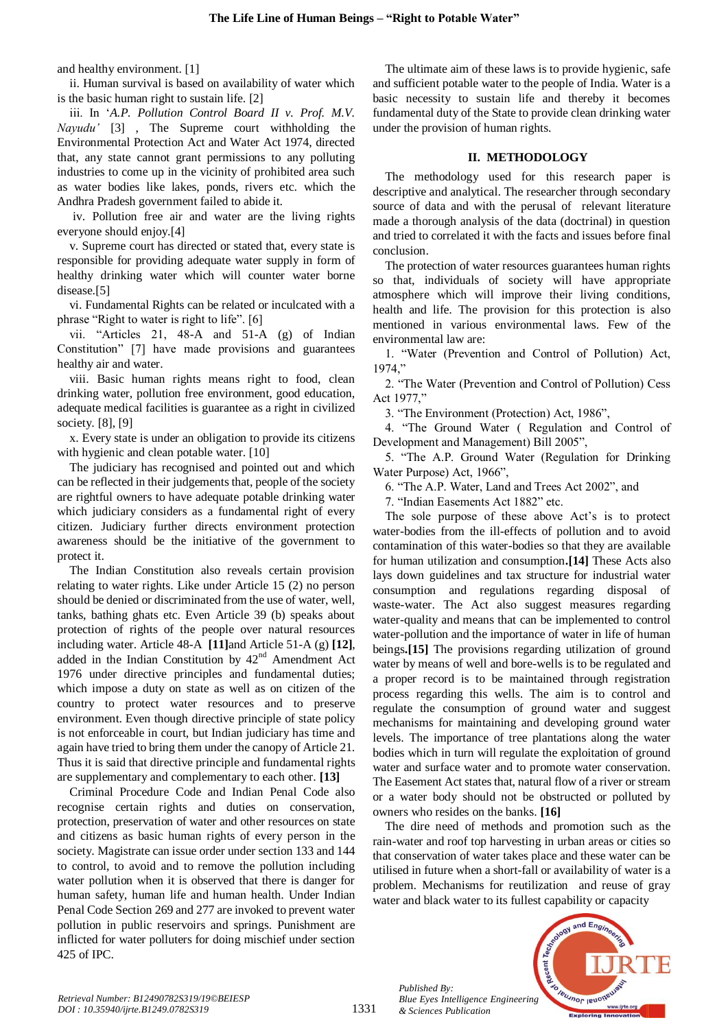and healthy environment. [1]

ii. Human survival is based on availability of water which is the basic human right to sustain life. [2]

iii. In '*A.P. Pollution Control Board II v. Prof. M.V. Nayudu'* [3] , The Supreme court withholding the Environmental Protection Act and Water Act 1974, directed that, any state cannot grant permissions to any polluting industries to come up in the vicinity of prohibited area such as water bodies like lakes, ponds, rivers etc. which the Andhra Pradesh government failed to abide it.

iv. Pollution free air and water are the living rights everyone should enjoy.[4]

v. Supreme court has directed or stated that, every state is responsible for providing adequate water supply in form of healthy drinking water which will counter water borne disease.[5]

vi. Fundamental Rights can be related or inculcated with a phrase "Right to water is right to life". [6]

vii. "Articles 21, 48-A and 51-A (g) of Indian Constitution" [7] have made provisions and guarantees healthy air and water.

viii. Basic human rights means right to food, clean drinking water, pollution free environment, good education, adequate medical facilities is guarantee as a right in civilized society. [8], [9]

x. Every state is under an obligation to provide its citizens with hygienic and clean potable water. [10]

The judiciary has recognised and pointed out and which can be reflected in their judgements that, people of the society are rightful owners to have adequate potable drinking water which judiciary considers as a fundamental right of every citizen. Judiciary further directs environment protection awareness should be the initiative of the government to protect it.

The Indian Constitution also reveals certain provision relating to water rights. Like under Article 15 (2) no person should be denied or discriminated from the use of water, well, tanks, bathing ghats etc. Even Article 39 (b) speaks about protection of rights of the people over natural resources including water. Article 48-A **[11]**and Article 51-A (g) **[12]**, added in the Indian Constitution by  $42<sup>nd</sup>$  Amendment Act 1976 under directive principles and fundamental duties; which impose a duty on state as well as on citizen of the country to protect water resources and to preserve environment. Even though directive principle of state policy is not enforceable in court, but Indian judiciary has time and again have tried to bring them under the canopy of Article 21. Thus it is said that directive principle and fundamental rights are supplementary and complementary to each other. **[13]**

Criminal Procedure Code and Indian Penal Code also recognise certain rights and duties on conservation, protection, preservation of water and other resources on state and citizens as basic human rights of every person in the society. Magistrate can issue order under section 133 and 144 to control, to avoid and to remove the pollution including water pollution when it is observed that there is danger for human safety, human life and human health. Under Indian Penal Code Section 269 and 277 are invoked to prevent water pollution in public reservoirs and springs. Punishment are inflicted for water polluters for doing mischief under section 425 of IPC.

The ultimate aim of these laws is to provide hygienic, safe and sufficient potable water to the people of India. Water is a basic necessity to sustain life and thereby it becomes fundamental duty of the State to provide clean drinking water under the provision of human rights.

## **II. METHODOLOGY**

The methodology used for this research paper is descriptive and analytical. The researcher through secondary source of data and with the perusal of relevant literature made a thorough analysis of the data (doctrinal) in question and tried to correlated it with the facts and issues before final conclusion.

The protection of water resources guarantees human rights so that, individuals of society will have appropriate atmosphere which will improve their living conditions, health and life. The provision for this protection is also mentioned in various environmental laws. Few of the environmental law are:

1. "Water (Prevention and Control of Pollution) Act, 1974,"

2. "The Water (Prevention and Control of Pollution) Cess Act 1977,"

3. "The Environment (Protection) Act, 1986",

4. "The Ground Water ( Regulation and Control of Development and Management) Bill 2005",

5. "The A.P. Ground Water (Regulation for Drinking Water Purpose) Act, 1966",

6. "The A.P. Water, Land and Trees Act 2002", and

7. "Indian Easements Act 1882" etc.

The sole purpose of these above Act's is to protect water-bodies from the ill-effects of pollution and to avoid contamination of this water-bodies so that they are available for human utilization and consumption**.[14]** These Acts also lays down guidelines and tax structure for industrial water consumption and regulations regarding disposal of waste-water. The Act also suggest measures regarding water-quality and means that can be implemented to control water-pollution and the importance of water in life of human beings**.[15]** The provisions regarding utilization of ground water by means of well and bore-wells is to be regulated and a proper record is to be maintained through registration process regarding this wells. The aim is to control and regulate the consumption of ground water and suggest mechanisms for maintaining and developing ground water levels. The importance of tree plantations along the water bodies which in turn will regulate the exploitation of ground water and surface water and to promote water conservation. The Easement Act states that, natural flow of a river or stream or a water body should not be obstructed or polluted by owners who resides on the banks. **[16]**

The dire need of methods and promotion such as the rain-water and roof top harvesting in urban areas or cities so that conservation of water takes place and these water can be utilised in future when a short-fall or availability of water is a problem. Mechanisms for reutilization and reuse of gray water and black water to its fullest capability or capacity



*Retrieval Number: B12490782S319/19©BEIESP DOI : 10.35940/ijrte.B1249.0782S319*

*Published By:*

*& Sciences Publication*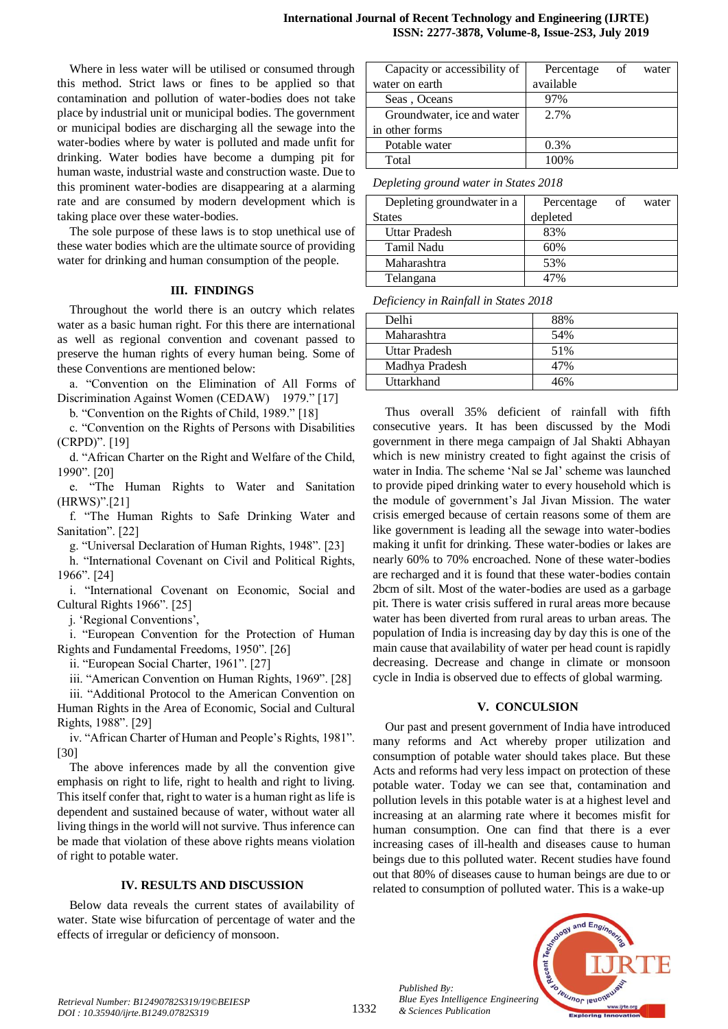Where in less water will be utilised or consumed through this method. Strict laws or fines to be applied so that contamination and pollution of water-bodies does not take place by industrial unit or municipal bodies. The government or municipal bodies are discharging all the sewage into the water-bodies where by water is polluted and made unfit for drinking. Water bodies have become a dumping pit for human waste, industrial waste and construction waste. Due to this prominent water-bodies are disappearing at a alarming rate and are consumed by modern development which is taking place over these water-bodies.

The sole purpose of these laws is to stop unethical use of these water bodies which are the ultimate source of providing water for drinking and human consumption of the people.

### **III. FINDINGS**

Throughout the world there is an outcry which relates water as a basic human right. For this there are international as well as regional convention and covenant passed to preserve the human rights of every human being. Some of these Conventions are mentioned below:

a. "Convention on the Elimination of All Forms of Discrimination Against Women (CEDAW) 1979." [17]

b. "Convention on the Rights of Child, 1989." [18]

c. "Convention on the Rights of Persons with Disabilities (CRPD)". [19]

d. "African Charter on the Right and Welfare of the Child, 1990". [20]

e. "The Human Rights to Water and Sanitation (HRWS)".[21]

f. "The Human Rights to Safe Drinking Water and Sanitation". [22]

g. "Universal Declaration of Human Rights, 1948". [23]

h. "International Covenant on Civil and Political Rights, 1966". [24]

i. "International Covenant on Economic, Social and Cultural Rights 1966". [25]

j. 'Regional Conventions',

i. "European Convention for the Protection of Human Rights and Fundamental Freedoms, 1950". [26]

ii. "European Social Charter, 1961". [27]

iii. "American Convention on Human Rights, 1969". [28]

iii. "Additional Protocol to the American Convention on Human Rights in the Area of Economic, Social and Cultural Rights, 1988". [29]

iv. "African Charter of Human and People's Rights, 1981". [30]

The above inferences made by all the convention give emphasis on right to life, right to health and right to living. This itself confer that, right to water is a human right as life is dependent and sustained because of water, without water all living things in the world will not survive. Thus inference can be made that violation of these above rights means violation of right to potable water.

### **IV. RESULTS AND DISCUSSION**

Below data reveals the current states of availability of water. State wise bifurcation of percentage of water and the effects of irregular or deficiency of monsoon.

| Capacity or accessibility of | Percentage | of | water |
|------------------------------|------------|----|-------|
| water on earth               | available  |    |       |
| Seas, Oceans                 | 97%        |    |       |
| Groundwater, ice and water   | 2.7%       |    |       |
| in other forms               |            |    |       |
| Potable water                | 0.3%       |    |       |
| Total                        | 100%       |    |       |

*Depleting ground water in States 2018*

| Depleting groundwater in a | Percentage | of | water |
|----------------------------|------------|----|-------|
| <b>States</b>              | depleted   |    |       |
| Uttar Pradesh              | 83%        |    |       |
| Tamil Nadu                 | 60%        |    |       |
| Maharashtra                | 53%        |    |       |
| Telangana                  |            |    |       |

*Deficiency in Rainfall in States 2018*

| Delhi          | 88% |
|----------------|-----|
| Maharashtra    | 54% |
| Uttar Pradesh  | 51% |
| Madhya Pradesh | 47% |
| Uttarkhand     | 46% |

Thus overall 35% deficient of rainfall with fifth consecutive years. It has been discussed by the Modi government in there mega campaign of Jal Shakti Abhayan which is new ministry created to fight against the crisis of water in India. The scheme 'Nal se Jal' scheme was launched to provide piped drinking water to every household which is the module of government's Jal Jivan Mission. The water crisis emerged because of certain reasons some of them are like government is leading all the sewage into water-bodies making it unfit for drinking. These water-bodies or lakes are nearly 60% to 70% encroached. None of these water-bodies are recharged and it is found that these water-bodies contain 2bcm of silt. Most of the water-bodies are used as a garbage pit. There is water crisis suffered in rural areas more because water has been diverted from rural areas to urban areas. The population of India is increasing day by day this is one of the main cause that availability of water per head count is rapidly decreasing. Decrease and change in climate or monsoon cycle in India is observed due to effects of global warming.

# **V. CONCULSION**

Our past and present government of India have introduced many reforms and Act whereby proper utilization and consumption of potable water should takes place. But these Acts and reforms had very less impact on protection of these potable water. Today we can see that, contamination and pollution levels in this potable water is at a highest level and increasing at an alarming rate where it becomes misfit for human consumption. One can find that there is a ever increasing cases of ill-health and diseases cause to human beings due to this polluted water. Recent studies have found out that 80% of diseases cause to human beings are due to or related to consumption of polluted water. This is a wake-up



*Published By:*

*& Sciences Publication*